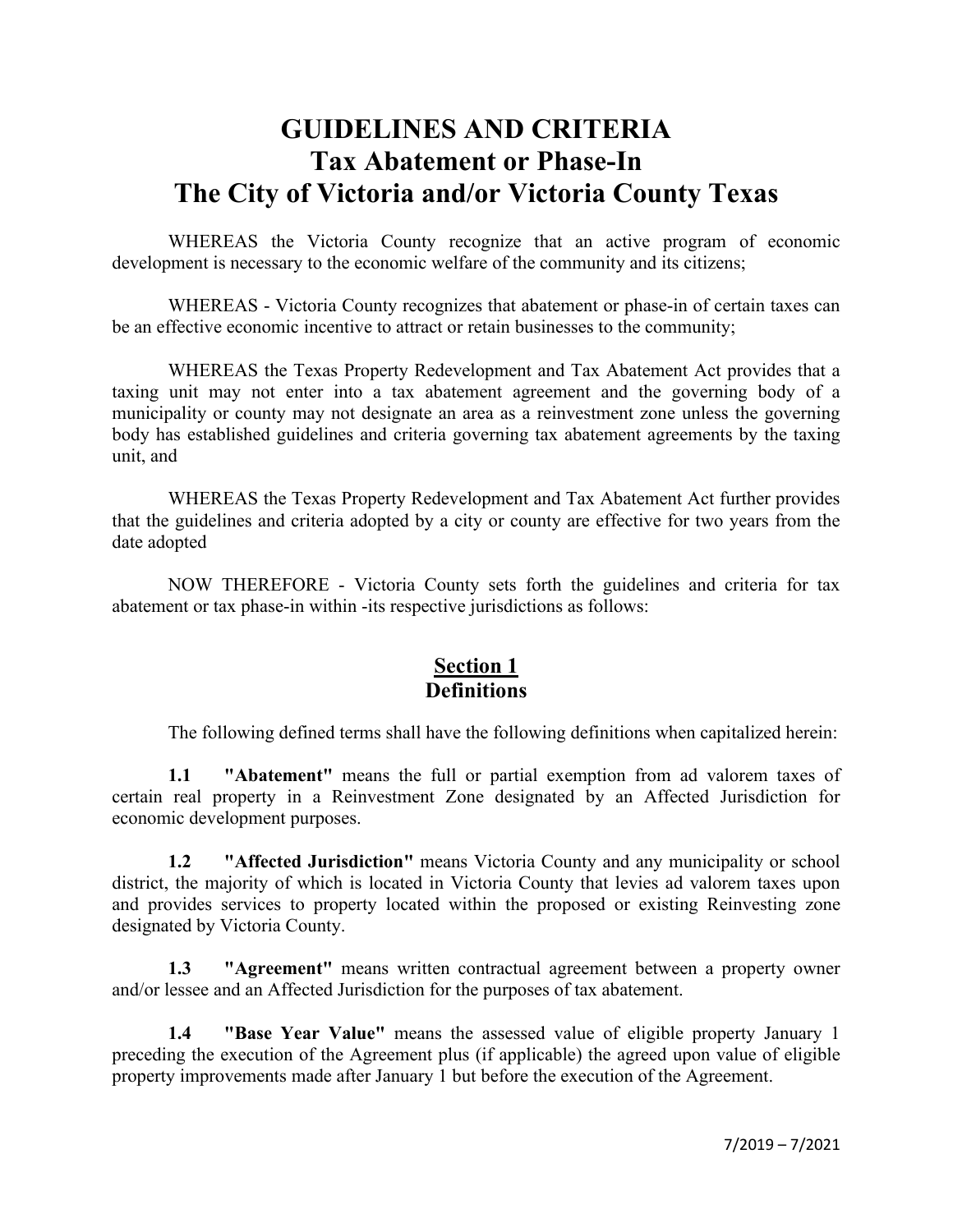# **GUIDELINES AND CRITERIA Tax Abatement or Phase-In The City of Victoria and/or Victoria County Texas**

WHEREAS the Victoria County recognize that an active program of economic development is necessary to the economic welfare of the community and its citizens;

WHEREAS - Victoria County recognizes that abatement or phase-in of certain taxes can be an effective economic incentive to attract or retain businesses to the community;

WHEREAS the Texas Property Redevelopment and Tax Abatement Act provides that a taxing unit may not enter into a tax abatement agreement and the governing body of a municipality or county may not designate an area as a reinvestment zone unless the governing body has established guidelines and criteria governing tax abatement agreements by the taxing unit, and

WHEREAS the Texas Property Redevelopment and Tax Abatement Act further provides that the guidelines and criteria adopted by a city or county are effective for two years from the date adopted

NOW THEREFORE - Victoria County sets forth the guidelines and criteria for tax abatement or tax phase-in within -its respective jurisdictions as follows:

#### **Section 1 Definitions**

The following defined terms shall have the following definitions when capitalized herein:

**1.1 "Abatement"** means the full or partial exemption from ad valorem taxes of certain real property in a Reinvestment Zone designated by an Affected Jurisdiction for economic development purposes.

**1.2 "Affected Jurisdiction"** means Victoria County and any municipality or school district, the majority of which is located in Victoria County that levies ad valorem taxes upon and provides services to property located within the proposed or existing Reinvesting zone designated by Victoria County.

**1.3 "Agreement"** means written contractual agreement between a property owner and/or lessee and an Affected Jurisdiction for the purposes of tax abatement.

**1.4 "Base Year Value"** means the assessed value of eligible property January 1 preceding the execution of the Agreement plus (if applicable) the agreed upon value of eligible property improvements made after January 1 but before the execution of the Agreement.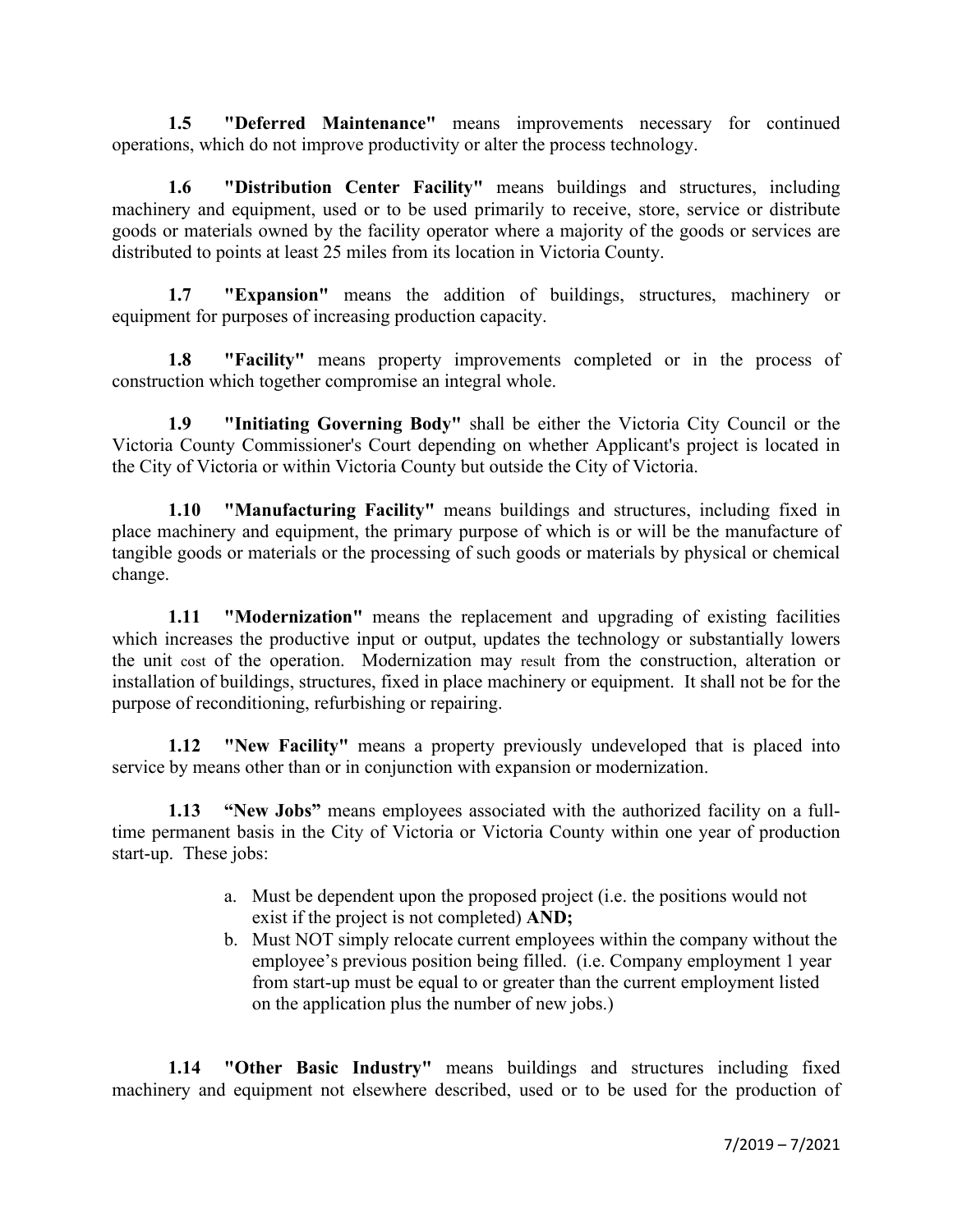**1.5 "Deferred Maintenance"** means improvements necessary for continued operations, which do not improve productivity or alter the process technology.

**1.6 "Distribution Center Facility"** means buildings and structures, including machinery and equipment, used or to be used primarily to receive, store, service or distribute goods or materials owned by the facility operator where a majority of the goods or services are distributed to points at least 25 miles from its location in Victoria County.

**1.7 "Expansion"** means the addition of buildings, structures, machinery or equipment for purposes of increasing production capacity.

**1.8 "Facility"** means property improvements completed or in the process of construction which together compromise an integral whole.

**1.9 "Initiating Governing Body"** shall be either the Victoria City Council or the Victoria County Commissioner's Court depending on whether Applicant's project is located in the City of Victoria or within Victoria County but outside the City of Victoria.

**1.10 "Manufacturing Facility"** means buildings and structures, including fixed in place machinery and equipment, the primary purpose of which is or will be the manufacture of tangible goods or materials or the processing of such goods or materials by physical or chemical change.

**1.11 "Modernization"** means the replacement and upgrading of existing facilities which increases the productive input or output, updates the technology or substantially lowers the unit cost of the operation. Modernization may result from the construction, alteration or installation of buildings, structures, fixed in place machinery or equipment. It shall not be for the purpose of reconditioning, refurbishing or repairing.

**1.12 "New Facility"** means a property previously undeveloped that is placed into service by means other than or in conjunction with expansion or modernization.

**1.13 "New Jobs"** means employees associated with the authorized facility on a fulltime permanent basis in the City of Victoria or Victoria County within one year of production start-up. These jobs:

- a. Must be dependent upon the proposed project (i.e. the positions would not exist if the project is not completed) **AND;**
- b. Must NOT simply relocate current employees within the company without the employee's previous position being filled. (i.e. Company employment 1 year from start-up must be equal to or greater than the current employment listed on the application plus the number of new jobs.)

**1.14 "Other Basic Industry"** means buildings and structures including fixed machinery and equipment not elsewhere described, used or to be used for the production of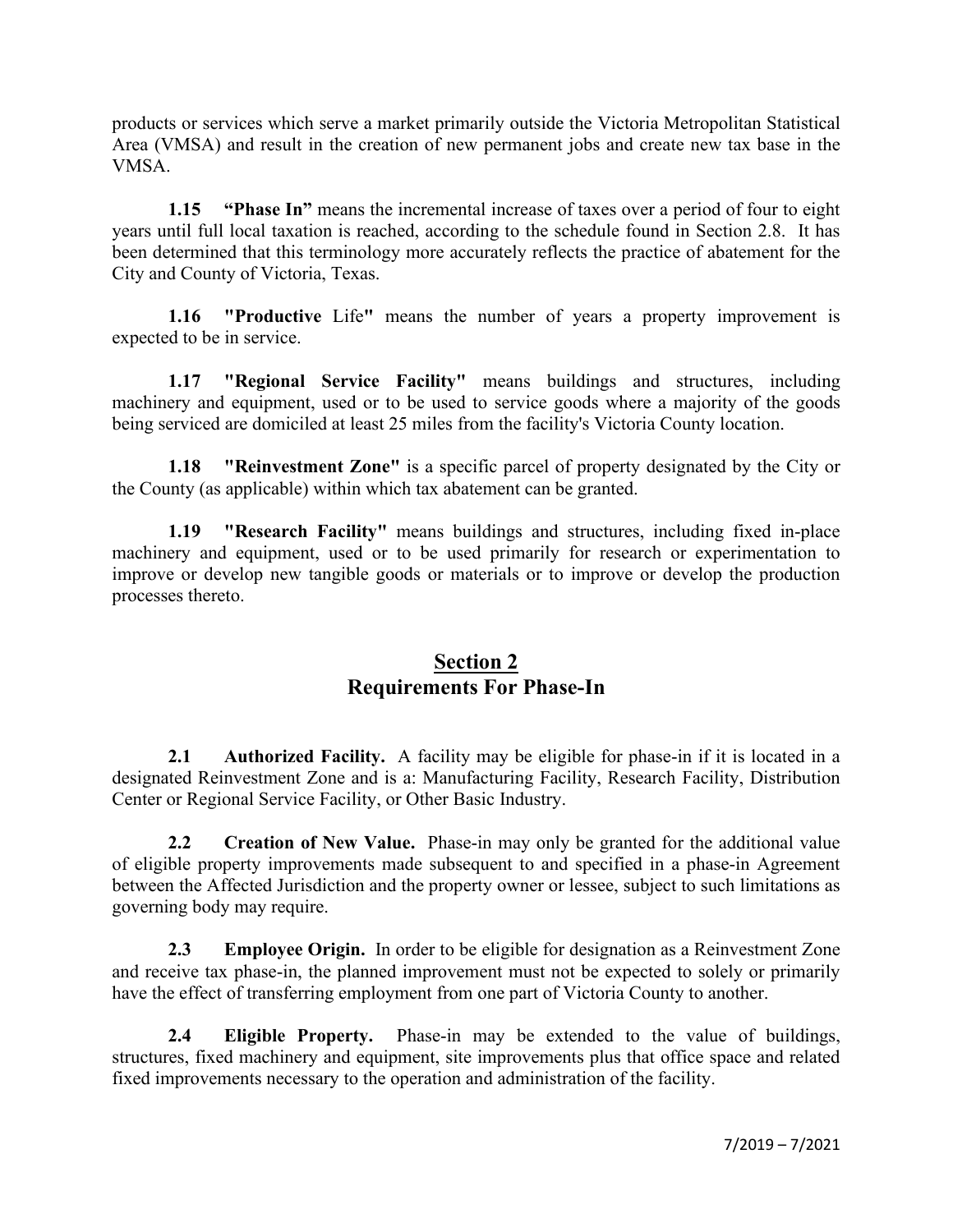products or services which serve a market primarily outside the Victoria Metropolitan Statistical Area (VMSA) and result in the creation of new permanent jobs and create new tax base in the VMSA.

**1.15 "Phase In"** means the incremental increase of taxes over a period of four to eight years until full local taxation is reached, according to the schedule found in Section 2.8. It has been determined that this terminology more accurately reflects the practice of abatement for the City and County of Victoria, Texas.

**1.16 "Productive** Life**"** means the number of years a property improvement is expected to be in service.

**1.17 "Regional Service Facility"** means buildings and structures, including machinery and equipment, used or to be used to service goods where a majority of the goods being serviced are domiciled at least 25 miles from the facility's Victoria County location.

**1.18 "Reinvestment Zone"** is a specific parcel of property designated by the City or the County (as applicable) within which tax abatement can be granted.

**1.19 "Research Facility"** means buildings and structures, including fixed in-place machinery and equipment, used or to be used primarily for research or experimentation to improve or develop new tangible goods or materials or to improve or develop the production processes thereto.

#### **Section 2 Requirements For Phase-In**

**2.1 Authorized Facility.** A facility may be eligible for phase-in if it is located in a designated Reinvestment Zone and is a: Manufacturing Facility, Research Facility, Distribution Center or Regional Service Facility, or Other Basic Industry.

**2.2 Creation of New Value.** Phase-in may only be granted for the additional value of eligible property improvements made subsequent to and specified in a phase-in Agreement between the Affected Jurisdiction and the property owner or lessee, subject to such limitations as governing body may require.

**2.3 Employee Origin.** In order to be eligible for designation as a Reinvestment Zone and receive tax phase-in, the planned improvement must not be expected to solely or primarily have the effect of transferring employment from one part of Victoria County to another.

**2.4 Eligible Property.** Phase-in may be extended to the value of buildings, structures, fixed machinery and equipment, site improvements plus that office space and related fixed improvements necessary to the operation and administration of the facility.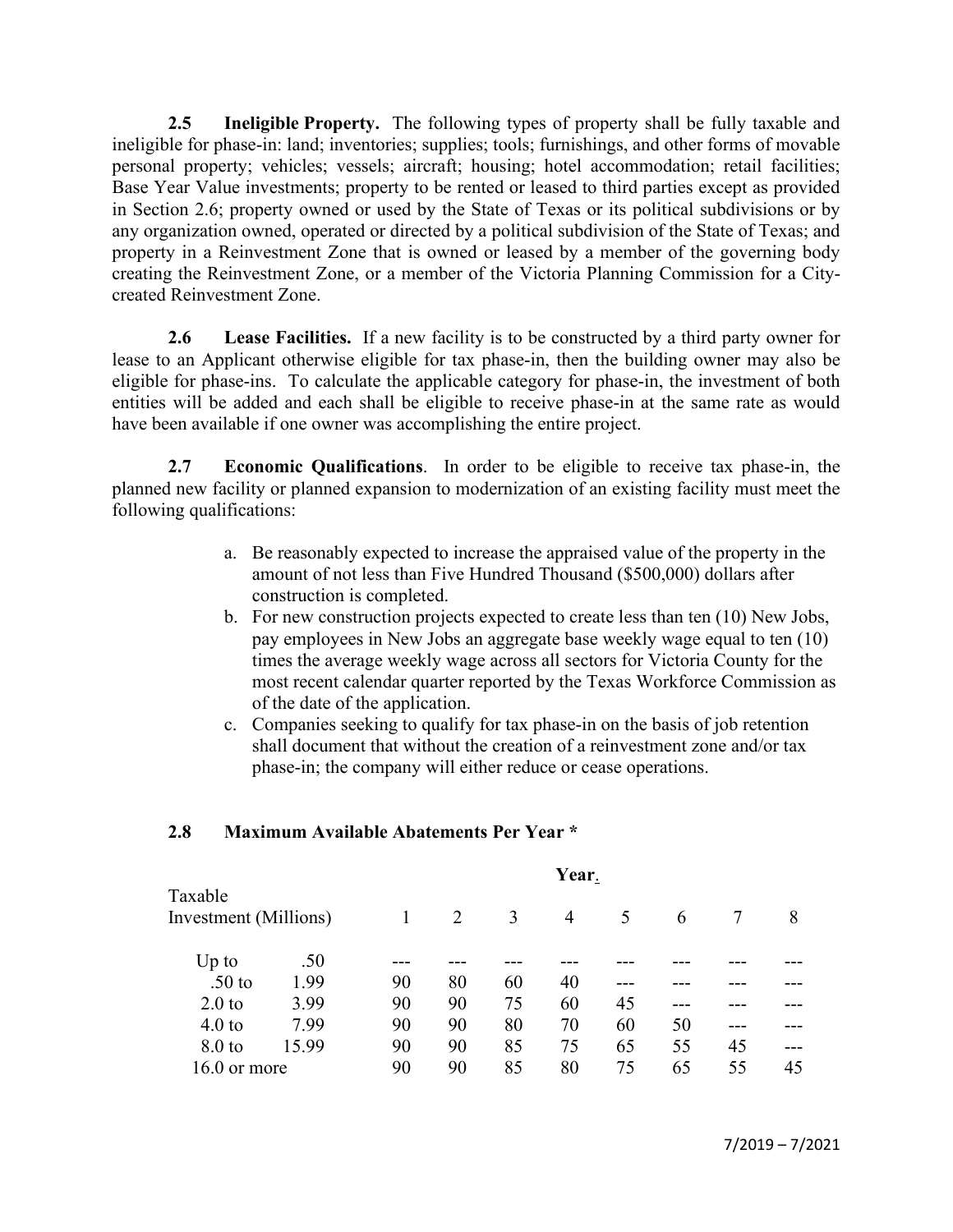**2.5 Ineligible Property.** The following types of property shall be fully taxable and ineligible for phase-in: land; inventories; supplies; tools; furnishings, and other forms of movable personal property; vehicles; vessels; aircraft; housing; hotel accommodation; retail facilities; Base Year Value investments; property to be rented or leased to third parties except as provided in Section 2.6; property owned or used by the State of Texas or its political subdivisions or by any organization owned, operated or directed by a political subdivision of the State of Texas; and property in a Reinvestment Zone that is owned or leased by a member of the governing body creating the Reinvestment Zone, or a member of the Victoria Planning Commission for a Citycreated Reinvestment Zone.

**2.6 Lease Facilities.** If a new facility is to be constructed by a third party owner for lease to an Applicant otherwise eligible for tax phase-in, then the building owner may also be eligible for phase-ins. To calculate the applicable category for phase-in, the investment of both entities will be added and each shall be eligible to receive phase-in at the same rate as would have been available if one owner was accomplishing the entire project.

**2.7 Economic Qualifications**. In order to be eligible to receive tax phase-in, the planned new facility or planned expansion to modernization of an existing facility must meet the following qualifications:

- a. Be reasonably expected to increase the appraised value of the property in the amount of not less than Five Hundred Thousand (\$500,000) dollars after construction is completed.
- b. For new construction projects expected to create less than ten (10) New Jobs, pay employees in New Jobs an aggregate base weekly wage equal to ten (10) times the average weekly wage across all sectors for Victoria County for the most recent calendar quarter reported by the Texas Workforce Commission as of the date of the application.
- c. Companies seeking to qualify for tax phase-in on the basis of job retention shall document that without the creation of a reinvestment zone and/or tax phase-in; the company will either reduce or cease operations.

#### **2.8 Maximum Available Abatements Per Year \***

|                                  | Year.          |    |    |                |    |    |    |    |
|----------------------------------|----------------|----|----|----------------|----|----|----|----|
| Taxable<br>Investment (Millions) |                | 2  | 3  | $\overline{4}$ | 5  | 6  |    | 8  |
| .50                              |                |    |    |                |    |    |    |    |
| 1.99                             | 90             | 80 | 60 | 40             |    |    |    |    |
| 3.99                             | 90             | 90 | 75 | 60             | 45 |    |    |    |
| 7.99                             | 90             | 90 | 80 | 70             | 60 | 50 |    |    |
| 15.99                            | 90             | 90 | 85 | 75             | 65 | 55 | 45 |    |
|                                  | 90             | 90 | 85 | 80             | 75 | 65 | 55 | 45 |
|                                  | $16.0$ or more |    |    |                |    |    |    |    |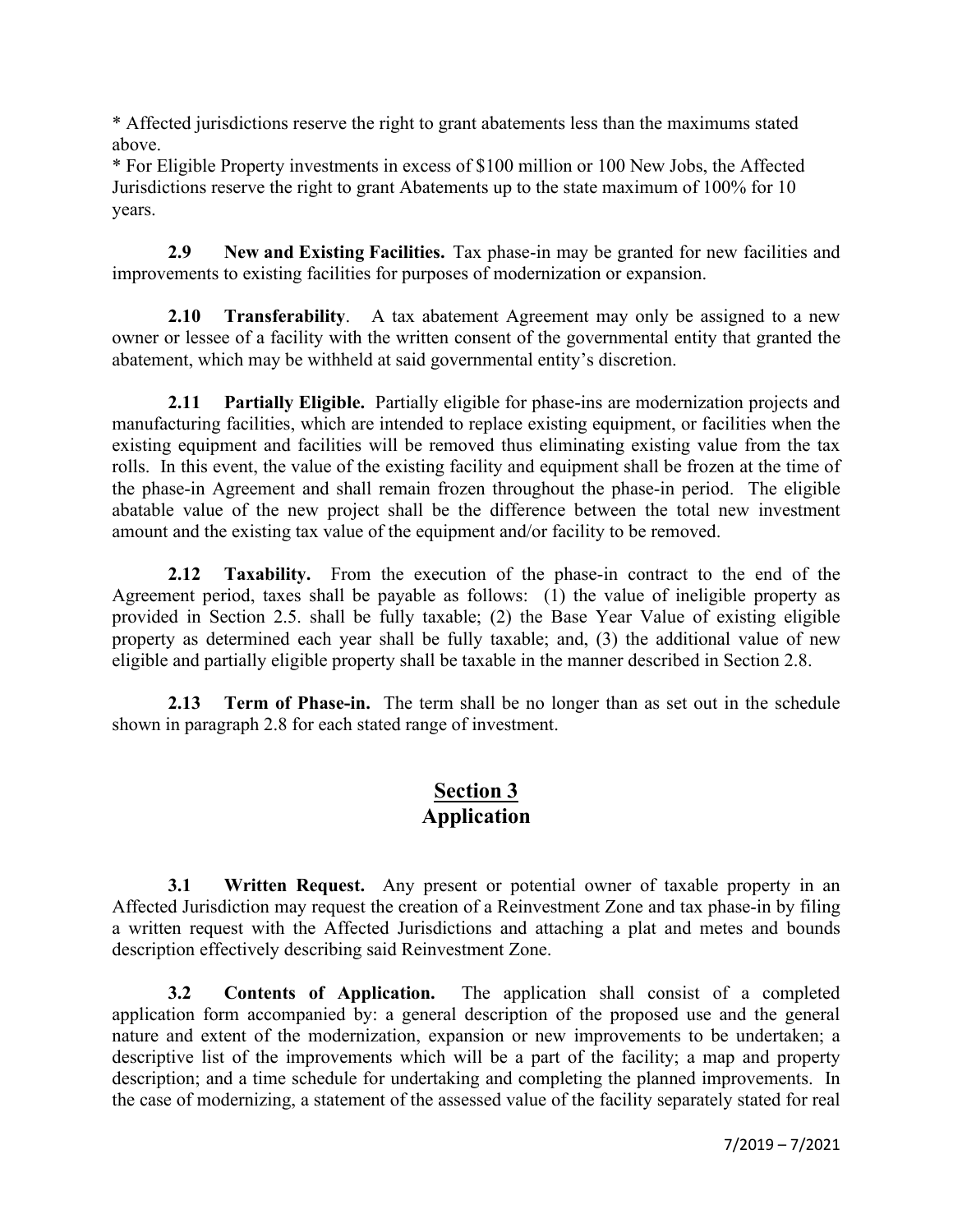\* Affected jurisdictions reserve the right to grant abatements less than the maximums stated above.

\* For Eligible Property investments in excess of \$100 million or 100 New Jobs, the Affected Jurisdictions reserve the right to grant Abatements up to the state maximum of 100% for 10 years.

**2.9 New and Existing Facilities.** Tax phase-in may be granted for new facilities and improvements to existing facilities for purposes of modernization or expansion.

**2.10 Transferability**. A tax abatement Agreement may only be assigned to a new owner or lessee of a facility with the written consent of the governmental entity that granted the abatement, which may be withheld at said governmental entity's discretion.

**2.11 Partially Eligible.** Partially eligible for phase-ins are modernization projects and manufacturing facilities, which are intended to replace existing equipment, or facilities when the existing equipment and facilities will be removed thus eliminating existing value from the tax rolls. In this event, the value of the existing facility and equipment shall be frozen at the time of the phase-in Agreement and shall remain frozen throughout the phase-in period. The eligible abatable value of the new project shall be the difference between the total new investment amount and the existing tax value of the equipment and/or facility to be removed.

**2.12 Taxability.** From the execution of the phase-in contract to the end of the Agreement period, taxes shall be payable as follows: (1) the value of ineligible property as provided in Section 2.5. shall be fully taxable; (2) the Base Year Value of existing eligible property as determined each year shall be fully taxable; and, (3) the additional value of new eligible and partially eligible property shall be taxable in the manner described in Section 2.8.

**2.13 Term of Phase-in.** The term shall be no longer than as set out in the schedule shown in paragraph 2.8 for each stated range of investment.

### **Section 3 Application**

**3.1 Written Request.** Any present or potential owner of taxable property in an Affected Jurisdiction may request the creation of a Reinvestment Zone and tax phase-in by filing a written request with the Affected Jurisdictions and attaching a plat and metes and bounds description effectively describing said Reinvestment Zone.

**3.2 Contents of Application.** The application shall consist of a completed application form accompanied by: a general description of the proposed use and the general nature and extent of the modernization, expansion or new improvements to be undertaken; a descriptive list of the improvements which will be a part of the facility; a map and property description; and a time schedule for undertaking and completing the planned improvements. In the case of modernizing, a statement of the assessed value of the facility separately stated for real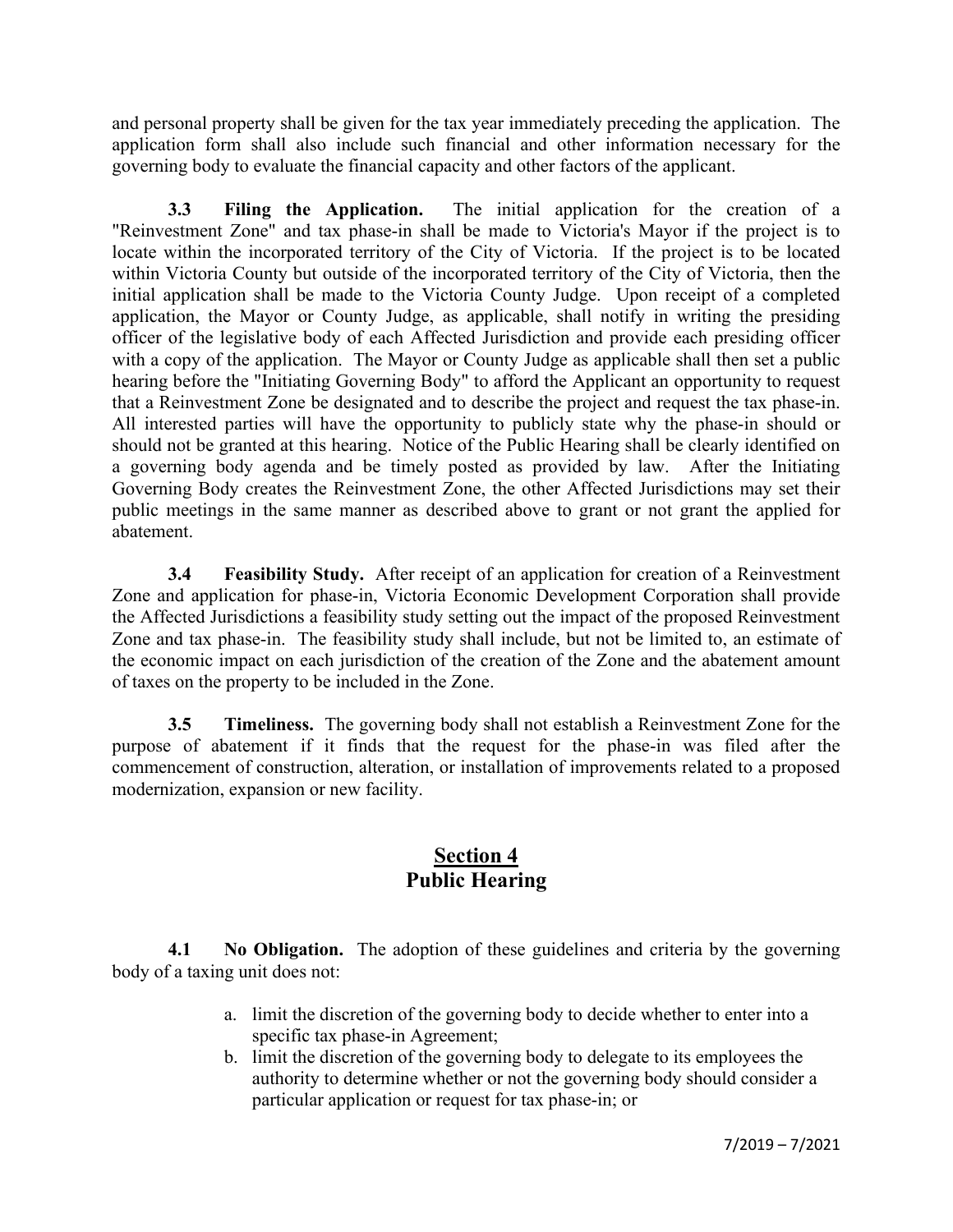and personal property shall be given for the tax year immediately preceding the application. The application form shall also include such financial and other information necessary for the governing body to evaluate the financial capacity and other factors of the applicant.

**3.3 Filing the Application.** The initial application for the creation of a "Reinvestment Zone" and tax phase-in shall be made to Victoria's Mayor if the project is to locate within the incorporated territory of the City of Victoria. If the project is to be located within Victoria County but outside of the incorporated territory of the City of Victoria, then the initial application shall be made to the Victoria County Judge.Upon receipt of a completed application, the Mayor or County Judge, as applicable, shall notify in writing the presiding officer of the legislative body of each Affected Jurisdiction and provide each presiding officer with a copy of the application. The Mayor or County Judge as applicable shall then set a public hearing before the "Initiating Governing Body" to afford the Applicant an opportunity to request that a Reinvestment Zone be designated and to describe the project and request the tax phase-in. All interested parties will have the opportunity to publicly state why the phase-in should or should not be granted at this hearing. Notice of the Public Hearing shall be clearly identified on a governing body agenda and be timely posted as provided by law. After the Initiating Governing Body creates the Reinvestment Zone, the other Affected Jurisdictions may set their public meetings in the same manner as described above to grant or not grant the applied for abatement.

**3.4 Feasibility Study.** After receipt of an application for creation of a Reinvestment Zone and application for phase-in, Victoria Economic Development Corporation shall provide the Affected Jurisdictions a feasibility study setting out the impact of the proposed Reinvestment Zone and tax phase-in. The feasibility study shall include, but not be limited to, an estimate of the economic impact on each jurisdiction of the creation of the Zone and the abatement amount of taxes on the property to be included in the Zone.

**3.5 Timeliness.** The governing body shall not establish a Reinvestment Zone for the purpose of abatement if it finds that the request for the phase-in was filed after the commencement of construction, alteration, or installation of improvements related to a proposed modernization, expansion or new facility.

# **Section 4 Public Hearing**

**4.1 No Obligation.** The adoption of these guidelines and criteria by the governing body of a taxing unit does not:

- a. limit the discretion of the governing body to decide whether to enter into a specific tax phase-in Agreement;
- b. limit the discretion of the governing body to delegate to its employees the authority to determine whether or not the governing body should consider a particular application or request for tax phase-in; or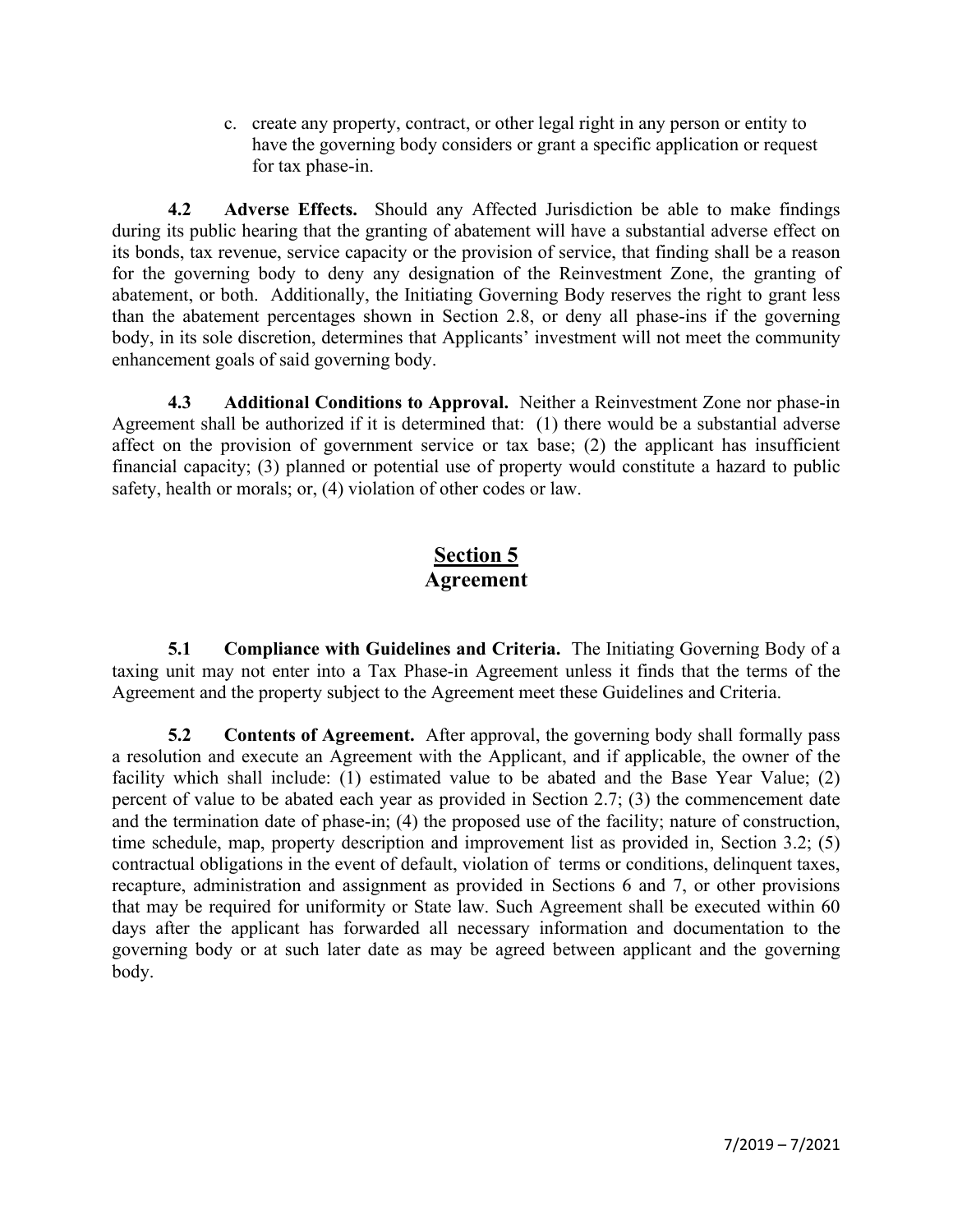c. create any property, contract, or other legal right in any person or entity to have the governing body considers or grant a specific application or request for tax phase-in.

**4.2 Adverse Effects.** Should any Affected Jurisdiction be able to make findings during its public hearing that the granting of abatement will have a substantial adverse effect on its bonds, tax revenue, service capacity or the provision of service, that finding shall be a reason for the governing body to deny any designation of the Reinvestment Zone, the granting of abatement, or both. Additionally, the Initiating Governing Body reserves the right to grant less than the abatement percentages shown in Section 2.8, or deny all phase-ins if the governing body, in its sole discretion, determines that Applicants' investment will not meet the community enhancement goals of said governing body.

**4.3 Additional Conditions to Approval.** Neither a Reinvestment Zone nor phase-in Agreement shall be authorized if it is determined that: (1) there would be a substantial adverse affect on the provision of government service or tax base; (2) the applicant has insufficient financial capacity; (3) planned or potential use of property would constitute a hazard to public safety, health or morals; or, (4) violation of other codes or law.

# **Section 5 Agreement**

**5.1 Compliance with Guidelines and Criteria.** The Initiating Governing Body of a taxing unit may not enter into a Tax Phase-in Agreement unless it finds that the terms of the Agreement and the property subject to the Agreement meet these Guidelines and Criteria.

**5.2 Contents of Agreement.** After approval, the governing body shall formally pass a resolution and execute an Agreement with the Applicant, and if applicable, the owner of the facility which shall include: (1) estimated value to be abated and the Base Year Value; (2) percent of value to be abated each year as provided in Section 2.7; (3) the commencement date and the termination date of phase-in; (4) the proposed use of the facility; nature of construction, time schedule, map, property description and improvement list as provided in, Section 3.2; (5) contractual obligations in the event of default, violation of terms or conditions, delinquent taxes, recapture, administration and assignment as provided in Sections 6 and 7, or other provisions that may be required for uniformity or State law. Such Agreement shall be executed within 60 days after the applicant has forwarded all necessary information and documentation to the governing body or at such later date as may be agreed between applicant and the governing body.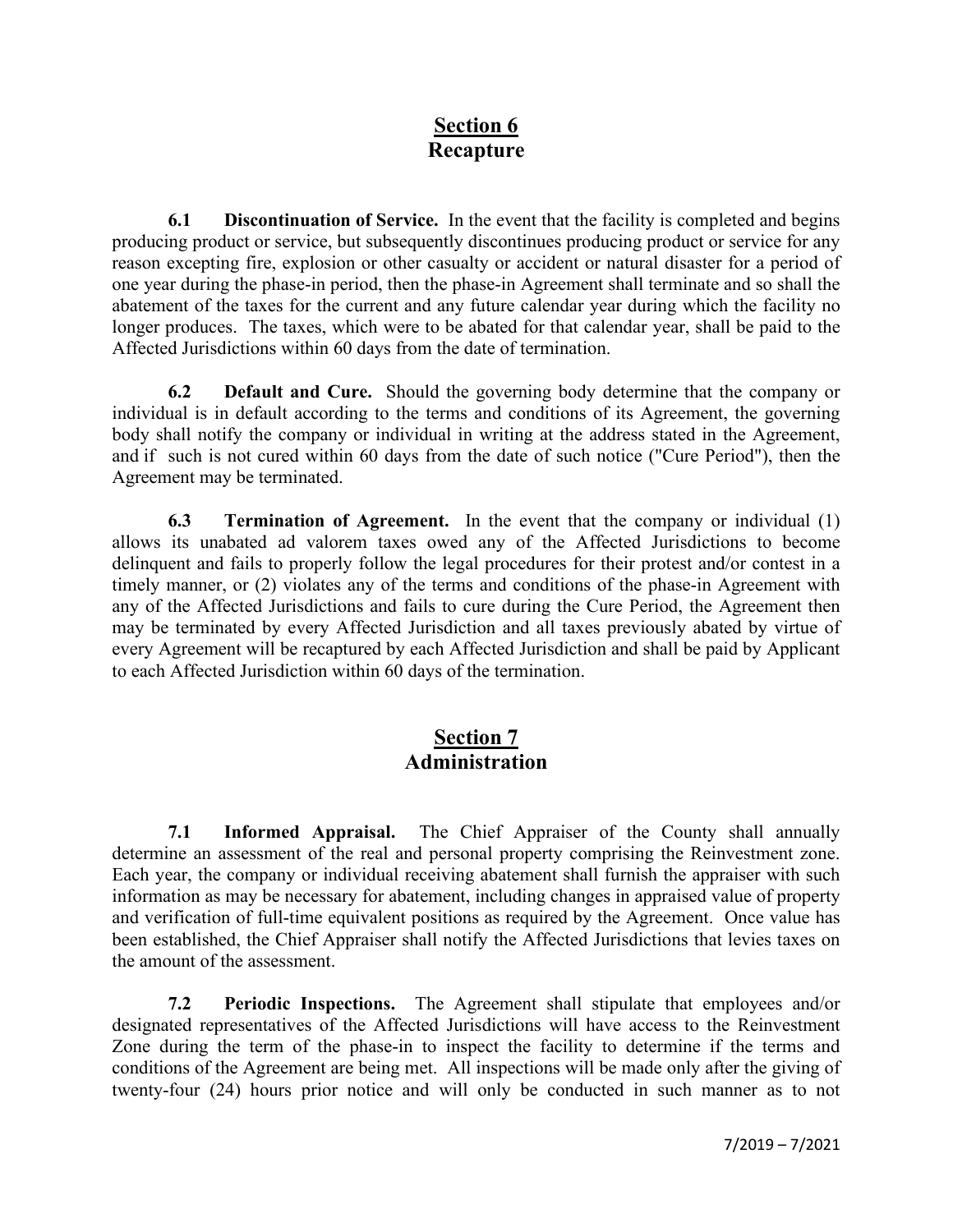# **Section 6 Recapture**

**6.1 Discontinuation of Service.** In the event that the facility is completed and begins producing product or service, but subsequently discontinues producing product or service for any reason excepting fire, explosion or other casualty or accident or natural disaster for a period of one year during the phase-in period, then the phase-in Agreement shall terminate and so shall the abatement of the taxes for the current and any future calendar year during which the facility no longer produces. The taxes, which were to be abated for that calendar year, shall be paid to the Affected Jurisdictions within 60 days from the date of termination.

**6.2 Default and Cure.** Should the governing body determine that the company or individual is in default according to the terms and conditions of its Agreement, the governing body shall notify the company or individual in writing at the address stated in the Agreement, and if such is not cured within 60 days from the date of such notice ("Cure Period"), then the Agreement may be terminated.

**6.3 Termination of Agreement.** In the event that the company or individual (1) allows its unabated ad valorem taxes owed any of the Affected Jurisdictions to become delinquent and fails to properly follow the legal procedures for their protest and/or contest in a timely manner, or (2) violates any of the terms and conditions of the phase-in Agreement with any of the Affected Jurisdictions and fails to cure during the Cure Period, the Agreement then may be terminated by every Affected Jurisdiction and all taxes previously abated by virtue of every Agreement will be recaptured by each Affected Jurisdiction and shall be paid by Applicant to each Affected Jurisdiction within 60 days of the termination.

#### **Section 7 Administration**

**7.1 Informed Appraisal.** The Chief Appraiser of the County shall annually determine an assessment of the real and personal property comprising the Reinvestment zone. Each year, the company or individual receiving abatement shall furnish the appraiser with such information as may be necessary for abatement, including changes in appraised value of property and verification of full-time equivalent positions as required by the Agreement. Once value has been established, the Chief Appraiser shall notify the Affected Jurisdictions that levies taxes on the amount of the assessment.

**7.2 Periodic Inspections.** The Agreement shall stipulate that employees and/or designated representatives of the Affected Jurisdictions will have access to the Reinvestment Zone during the term of the phase-in to inspect the facility to determine if the terms and conditions of the Agreement are being met. All inspections will be made only after the giving of twenty-four (24) hours prior notice and will only be conducted in such manner as to not